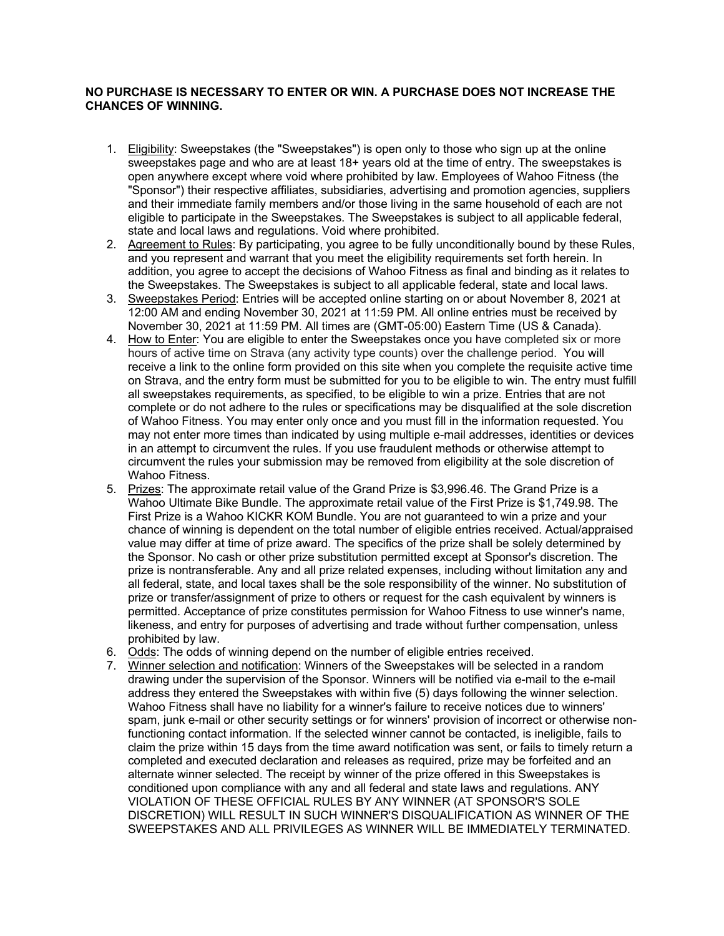## **NO PURCHASE IS NECESSARY TO ENTER OR WIN. A PURCHASE DOES NOT INCREASE THE CHANCES OF WINNING.**

- 1. Eligibility: Sweepstakes (the "Sweepstakes") is open only to those who sign up at the online sweepstakes page and who are at least 18+ years old at the time of entry. The sweepstakes is open anywhere except where void where prohibited by law. Employees of Wahoo Fitness (the "Sponsor") their respective affiliates, subsidiaries, advertising and promotion agencies, suppliers and their immediate family members and/or those living in the same household of each are not eligible to participate in the Sweepstakes. The Sweepstakes is subject to all applicable federal, state and local laws and regulations. Void where prohibited.
- 2. Agreement to Rules: By participating, you agree to be fully unconditionally bound by these Rules, and you represent and warrant that you meet the eligibility requirements set forth herein. In addition, you agree to accept the decisions of Wahoo Fitness as final and binding as it relates to the Sweepstakes. The Sweepstakes is subject to all applicable federal, state and local laws.
- 3. Sweepstakes Period: Entries will be accepted online starting on or about November 8, 2021 at 12:00 AM and ending November 30, 2021 at 11:59 PM. All online entries must be received by November 30, 2021 at 11:59 PM. All times are (GMT-05:00) Eastern Time (US & Canada).
- 4. How to Enter: You are eligible to enter the Sweepstakes once you have completed six or more hours of active time on Strava (any activity type counts) over the challenge period. You will receive a link to the online form provided on this site when you complete the requisite active time on Strava, and the entry form must be submitted for you to be eligible to win. The entry must fulfill all sweepstakes requirements, as specified, to be eligible to win a prize. Entries that are not complete or do not adhere to the rules or specifications may be disqualified at the sole discretion of Wahoo Fitness. You may enter only once and you must fill in the information requested. You may not enter more times than indicated by using multiple e-mail addresses, identities or devices in an attempt to circumvent the rules. If you use fraudulent methods or otherwise attempt to circumvent the rules your submission may be removed from eligibility at the sole discretion of Wahoo Fitness.
- 5. Prizes: The approximate retail value of the Grand Prize is \$3,996.46. The Grand Prize is a Wahoo Ultimate Bike Bundle. The approximate retail value of the First Prize is \$1,749.98. The First Prize is a Wahoo KICKR KOM Bundle. You are not guaranteed to win a prize and your chance of winning is dependent on the total number of eligible entries received. Actual/appraised value may differ at time of prize award. The specifics of the prize shall be solely determined by the Sponsor. No cash or other prize substitution permitted except at Sponsor's discretion. The prize is nontransferable. Any and all prize related expenses, including without limitation any and all federal, state, and local taxes shall be the sole responsibility of the winner. No substitution of prize or transfer/assignment of prize to others or request for the cash equivalent by winners is permitted. Acceptance of prize constitutes permission for Wahoo Fitness to use winner's name, likeness, and entry for purposes of advertising and trade without further compensation, unless prohibited by law.
- 6. Odds: The odds of winning depend on the number of eligible entries received.
- 7. Winner selection and notification: Winners of the Sweepstakes will be selected in a random drawing under the supervision of the Sponsor. Winners will be notified via e-mail to the e-mail address they entered the Sweepstakes with within five (5) days following the winner selection. Wahoo Fitness shall have no liability for a winner's failure to receive notices due to winners' spam, junk e-mail or other security settings or for winners' provision of incorrect or otherwise nonfunctioning contact information. If the selected winner cannot be contacted, is ineligible, fails to claim the prize within 15 days from the time award notification was sent, or fails to timely return a completed and executed declaration and releases as required, prize may be forfeited and an alternate winner selected. The receipt by winner of the prize offered in this Sweepstakes is conditioned upon compliance with any and all federal and state laws and regulations. ANY VIOLATION OF THESE OFFICIAL RULES BY ANY WINNER (AT SPONSOR'S SOLE DISCRETION) WILL RESULT IN SUCH WINNER'S DISQUALIFICATION AS WINNER OF THE SWEEPSTAKES AND ALL PRIVILEGES AS WINNER WILL BE IMMEDIATELY TERMINATED.